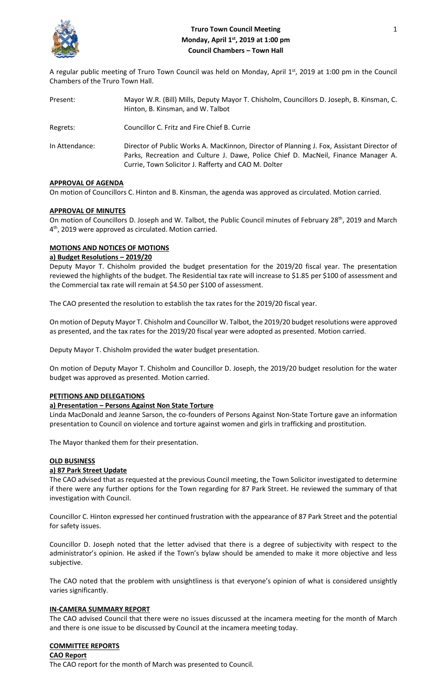

# **Truro Town Council Meeting 1 2022 12:23 12:23 12:23 12:23 12:23 12:23 12:23 12:23 12:23 12:23 12:23 12:23 12:23 12:23 12:23 12:23 12:23 12:23 12:23 12:23 12:23 12:23 12:23 12:23 12:23 12:23 12:23 12:23 12:23 12:23 12:23 1 Monday, April 1st, 2019 at 1:00 pm Council Chambers – Town Hall**

A regular public meeting of Truro Town Council was held on Monday, April  $1<sup>st</sup>$ , 2019 at 1:00 pm in the Council Chambers of the Truro Town Hall.

| Present:       | Mayor W.R. (Bill) Mills, Deputy Mayor T. Chisholm, Councillors D. Joseph, B. Kinsman, C.<br>Hinton, B. Kinsman, and W. Talbot                                                                                                           |
|----------------|-----------------------------------------------------------------------------------------------------------------------------------------------------------------------------------------------------------------------------------------|
| Regrets:       | Councillor C. Fritz and Fire Chief B. Currie                                                                                                                                                                                            |
| In Attendance: | Director of Public Works A. MacKinnon, Director of Planning J. Fox, Assistant Director of<br>Parks, Recreation and Culture J. Dawe, Police Chief D. MacNeil, Finance Manager A.<br>Currie, Town Solicitor J. Rafferty and CAO M. Dolter |

### **APPROVAL OF AGENDA**

On motion of Councillors C. Hinton and B. Kinsman, the agenda was approved as circulated. Motion carried.

### **APPROVAL OF MINUTES**

On motion of Councillors D. Joseph and W. Talbot, the Public Council minutes of February 28<sup>th</sup>, 2019 and March 4 th, 2019 were approved as circulated. Motion carried.

## **MOTIONS AND NOTICES OF MOTIONS**

### **a) Budget Resolutions – 2019/20**

Deputy Mayor T. Chisholm provided the budget presentation for the 2019/20 fiscal year. The presentation reviewed the highlights of the budget. The Residential tax rate will increase to \$1.85 per \$100 of assessment and the Commercial tax rate will remain at \$4.50 per \$100 of assessment.

The CAO presented the resolution to establish the tax rates for the 2019/20 fiscal year.

On motion of Deputy Mayor T. Chisholm and Councillor W. Talbot, the 2019/20 budget resolutions were approved as presented, and the tax rates for the 2019/20 fiscal year were adopted as presented. Motion carried.

Deputy Mayor T. Chisholm provided the water budget presentation.

On motion of Deputy Mayor T. Chisholm and Councillor D. Joseph, the 2019/20 budget resolution for the water budget was approved as presented. Motion carried.

## **PETITIONS AND DELEGATIONS**

### **a) Presentation – Persons Against Non State Torture**

Linda MacDonald and Jeanne Sarson, the co-founders of Persons Against Non-State Torture gave an information presentation to Council on violence and torture against women and girls in trafficking and prostitution.

The Mayor thanked them for their presentation.

### **OLD BUSINESS**

## **a) 87 Park Street Update**

The CAO advised that as requested at the previous Council meeting, the Town Solicitor investigated to determine if there were any further options for the Town regarding for 87 Park Street. He reviewed the summary of that investigation with Council.

Councillor C. Hinton expressed her continued frustration with the appearance of 87 Park Street and the potential for safety issues.

Councillor D. Joseph noted that the letter advised that there is a degree of subjectivity with respect to the administrator's opinion. He asked if the Town's bylaw should be amended to make it more objective and less subjective.

The CAO noted that the problem with unsightliness is that everyone's opinion of what is considered unsightly varies significantly.

## **IN-CAMERA SUMMARY REPORT**

The CAO advised Council that there were no issues discussed at the incamera meeting for the month of March and there is one issue to be discussed by Council at the incamera meeting today.

## **COMMITTEE REPORTS**

### **CAO Report**

The CAO report for the month of March was presented to Council.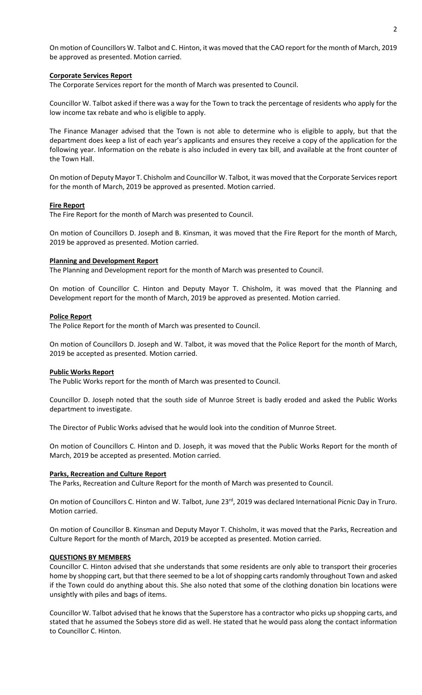On motion of Councillors W. Talbot and C. Hinton, it was moved that the CAO report for the month of March, 2019 be approved as presented. Motion carried.

### **Corporate Services Report**

The Corporate Services report for the month of March was presented to Council.

Councillor W. Talbot asked if there was a way for the Town to track the percentage of residents who apply for the low income tax rebate and who is eligible to apply.

The Finance Manager advised that the Town is not able to determine who is eligible to apply, but that the department does keep a list of each year's applicants and ensures they receive a copy of the application for the following year. Information on the rebate is also included in every tax bill, and available at the front counter of the Town Hall.

On motion of Deputy Mayor T. Chisholm and Councillor W. Talbot, it was moved that the Corporate Servicesreport for the month of March, 2019 be approved as presented. Motion carried.

## **Fire Report**

The Fire Report for the month of March was presented to Council.

On motion of Councillors D. Joseph and B. Kinsman, it was moved that the Fire Report for the month of March, 2019 be approved as presented. Motion carried.

#### **Planning and Development Report**

The Planning and Development report for the month of March was presented to Council.

On motion of Councillor C. Hinton and Deputy Mayor T. Chisholm, it was moved that the Planning and Development report for the month of March, 2019 be approved as presented. Motion carried.

#### **Police Report**

The Police Report for the month of March was presented to Council.

On motion of Councillors D. Joseph and W. Talbot, it was moved that the Police Report for the month of March, 2019 be accepted as presented. Motion carried.

### **Public Works Report**

The Public Works report for the month of March was presented to Council.

Councillor D. Joseph noted that the south side of Munroe Street is badly eroded and asked the Public Works department to investigate.

The Director of Public Works advised that he would look into the condition of Munroe Street.

On motion of Councillors C. Hinton and D. Joseph, it was moved that the Public Works Report for the month of March, 2019 be accepted as presented. Motion carried.

#### **Parks, Recreation and Culture Report**

The Parks, Recreation and Culture Report for the month of March was presented to Council.

On motion of Councillors C. Hinton and W. Talbot, June 23<sup>rd</sup>, 2019 was declared International Picnic Day in Truro. Motion carried.

On motion of Councillor B. Kinsman and Deputy Mayor T. Chisholm, it was moved that the Parks, Recreation and Culture Report for the month of March, 2019 be accepted as presented. Motion carried.

### **QUESTIONS BY MEMBERS**

Councillor C. Hinton advised that she understands that some residents are only able to transport their groceries home by shopping cart, but that there seemed to be a lot of shopping carts randomly throughout Town and asked if the Town could do anything about this. She also noted that some of the clothing donation bin locations were unsightly with piles and bags of items.

Councillor W. Talbot advised that he knows that the Superstore has a contractor who picks up shopping carts, and stated that he assumed the Sobeys store did as well. He stated that he would pass along the contact information to Councillor C. Hinton.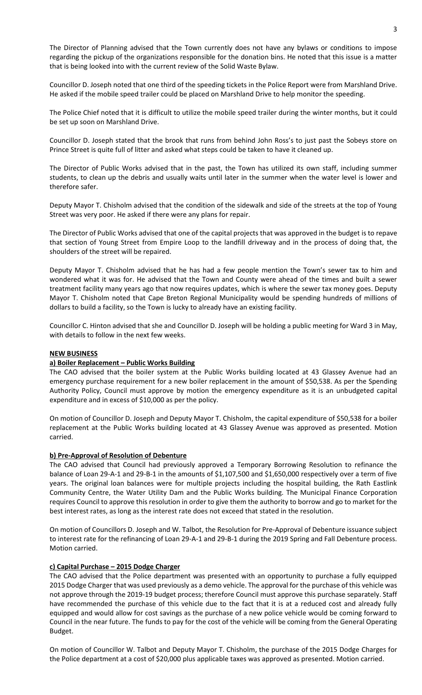The Director of Planning advised that the Town currently does not have any bylaws or conditions to impose regarding the pickup of the organizations responsible for the donation bins. He noted that this issue is a matter that is being looked into with the current review of the Solid Waste Bylaw.

Councillor D. Joseph noted that one third of the speeding tickets in the Police Report were from Marshland Drive. He asked if the mobile speed trailer could be placed on Marshland Drive to help monitor the speeding.

The Police Chief noted that it is difficult to utilize the mobile speed trailer during the winter months, but it could be set up soon on Marshland Drive.

Councillor D. Joseph stated that the brook that runs from behind John Ross's to just past the Sobeys store on Prince Street is quite full of litter and asked what steps could be taken to have it cleaned up.

The Director of Public Works advised that in the past, the Town has utilized its own staff, including summer students, to clean up the debris and usually waits until later in the summer when the water level is lower and therefore safer.

Deputy Mayor T. Chisholm advised that the condition of the sidewalk and side of the streets at the top of Young Street was very poor. He asked if there were any plans for repair.

The Director of Public Works advised that one of the capital projects that was approved in the budget is to repave that section of Young Street from Empire Loop to the landfill driveway and in the process of doing that, the shoulders of the street will be repaired.

Deputy Mayor T. Chisholm advised that he has had a few people mention the Town's sewer tax to him and wondered what it was for. He advised that the Town and County were ahead of the times and built a sewer treatment facility many years ago that now requires updates, which is where the sewer tax money goes. Deputy Mayor T. Chisholm noted that Cape Breton Regional Municipality would be spending hundreds of millions of dollars to build a facility, so the Town is lucky to already have an existing facility.

Councillor C. Hinton advised that she and Councillor D. Joseph will be holding a public meeting for Ward 3 in May, with details to follow in the next few weeks.

## **NEW BUSINESS**

## **a) Boiler Replacement – Public Works Building**

The CAO advised that the boiler system at the Public Works building located at 43 Glassey Avenue had an emergency purchase requirement for a new boiler replacement in the amount of \$50,538. As per the Spending Authority Policy, Council must approve by motion the emergency expenditure as it is an unbudgeted capital expenditure and in excess of \$10,000 as per the policy.

On motion of Councillor D. Joseph and Deputy Mayor T. Chisholm, the capital expenditure of \$50,538 for a boiler replacement at the Public Works building located at 43 Glassey Avenue was approved as presented. Motion carried.

## **b) Pre-Approval of Resolution of Debenture**

The CAO advised that Council had previously approved a Temporary Borrowing Resolution to refinance the balance of Loan 29-A-1 and 29-B-1 in the amounts of \$1,107,500 and \$1,650,000 respectively over a term of five years. The original loan balances were for multiple projects including the hospital building, the Rath Eastlink Community Centre, the Water Utility Dam and the Public Works building. The Municipal Finance Corporation requires Council to approve this resolution in order to give them the authority to borrow and go to market for the best interest rates, as long as the interest rate does not exceed that stated in the resolution.

On motion of Councillors D. Joseph and W. Talbot, the Resolution for Pre-Approval of Debenture issuance subject to interest rate for the refinancing of Loan 29-A-1 and 29-B-1 during the 2019 Spring and Fall Debenture process. Motion carried.

### **c) Capital Purchase – 2015 Dodge Charger**

The CAO advised that the Police department was presented with an opportunity to purchase a fully equipped 2015 Dodge Charger that was used previously as a demo vehicle. The approval for the purchase of this vehicle was not approve through the 2019-19 budget process; therefore Council must approve this purchase separately. Staff have recommended the purchase of this vehicle due to the fact that it is at a reduced cost and already fully equipped and would allow for cost savings as the purchase of a new police vehicle would be coming forward to Council in the near future. The funds to pay for the cost of the vehicle will be coming from the General Operating Budget.

On motion of Councillor W. Talbot and Deputy Mayor T. Chisholm, the purchase of the 2015 Dodge Charges for the Police department at a cost of \$20,000 plus applicable taxes was approved as presented. Motion carried.